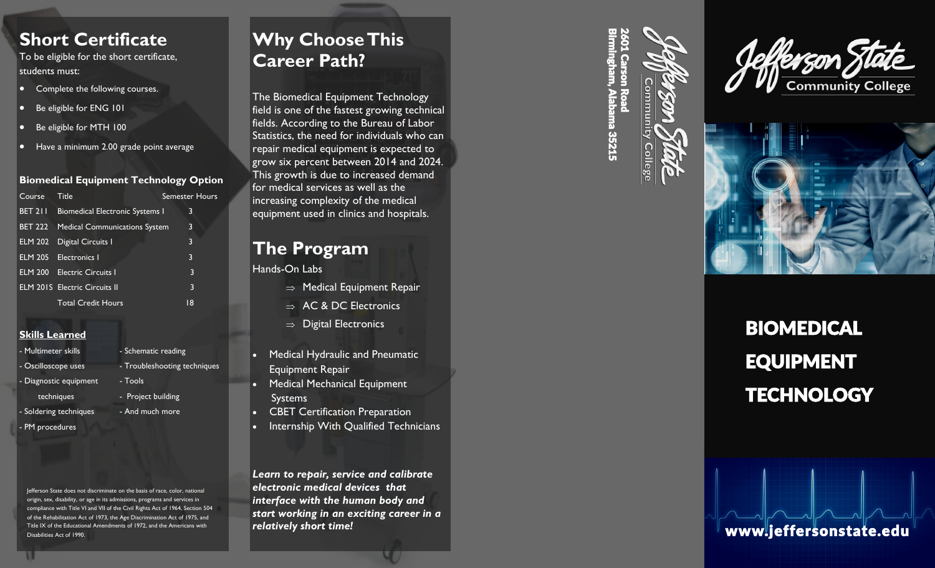## **Short Certificate**

To be eligible for the short certificate, students must:

- Complete the following courses.
- Be eligible for ENG 101
- Be eligible for MTH 100
- Have a minimum 2.00 grade point average

#### **Biomedical Equipment Technology Option**

| Course         | Title                                  | <b>Semester Hours</b> |
|----------------|----------------------------------------|-----------------------|
| <b>BET 211</b> | <b>Biomedical Electronic Systems I</b> | 3                     |
| <b>BET 222</b> | <b>Medical Communications System</b>   | 3                     |
| <b>ELM 202</b> | Digital Circuits I                     | 3                     |
|                | <b>ELM 205</b> Electronics I           | 3                     |
|                | <b>ELM 200 Electric Circuits I</b>     | 3                     |
|                | <b>ELM 201S</b> Electric Circuits II   | 3                     |
|                | <b>Total Credit Hours</b>              | 18                    |
|                |                                        |                       |

### **Skills Learned**

- Multimeter skills - Schematic reading - Oscilloscope uses - Troubleshooting techniques - Diagnostic equipment - Tools techniques - Project building - Soldering techniques - And much more
- PM procedures

Jefferson State does not discriminate on the basis of race, color, national origin, sex, disability, or age in its admissions, programs and services in compliance with Title VI and VII of the Civil Rights Act of 1964, Section 504 of the Rehabilitation Act of 1973, the Age Discrimination Act of 1975, and Title IX of the Educational Amendments of 1972, and the Americans with Disabilities Act of 1990.

## **Why Choose This Career Path?**

The Biomedical Equipment Technology field is one of the fastest growing technical fields. According to the Bureau of Labor Statistics, the need for individuals who can repair medical equipment is expected to grow six percent between 2014 and 2024. This growth is due to increased demand for medical services as well as the increasing complexity of the medical equipment used in clinics and hospitals.

## **The Program**

### Hands -On Labs

- $\Rightarrow$  Medical Equipment Repair
- $\Rightarrow$  AC & DC Electronics
- $\Rightarrow$  Digital Electronics
- Medical Hydraulic and Pneumatic Equipment Repair
- Medical Mechanical Equipment Systems
- CBET Certification Preparation
- Internship With Qualified Technicians

*Learn to repair, service and calibrate electronic medical devices that interface with the human body and start working in an exciting career in a relatively short time!*

2601 Carson RoadBirmingham, Alabama 35215







BIOMEDICAL EQUIPMENT **TECHNOLOGY**